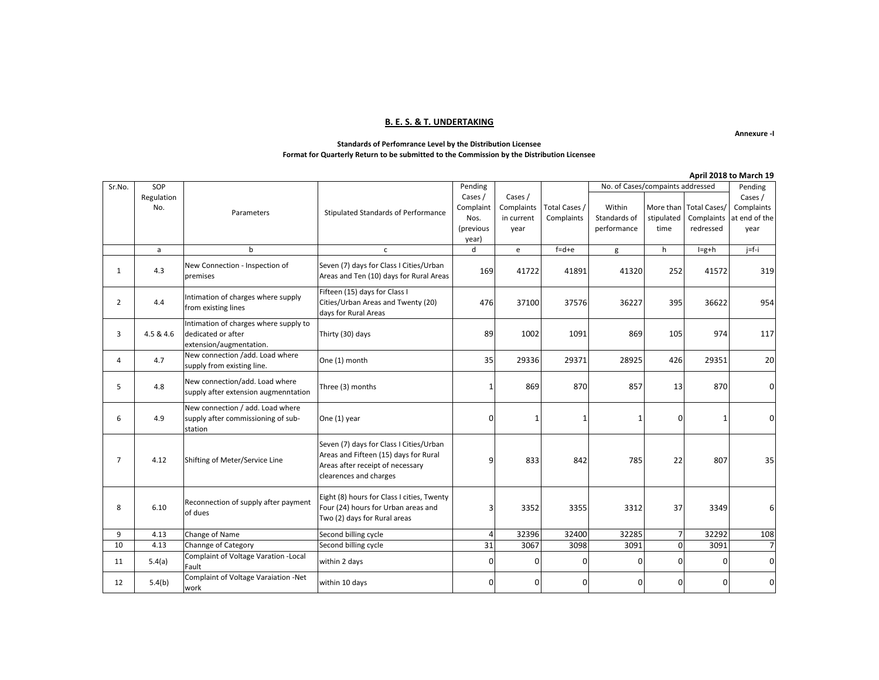#### **B. E. S. & T. UNDERTAKING**

**Annexure -I**

#### **Standards of Perfomrance Level by the Distribution Licensee Format for Quarterly Return to be submitted to the Commission by the Distribution Licensee**

|                |                   |                                                                                        |                                                                                                                                                |                                                    |                                             |                             |                                       |                    |                                                   | April 2018 to March 19                         |
|----------------|-------------------|----------------------------------------------------------------------------------------|------------------------------------------------------------------------------------------------------------------------------------------------|----------------------------------------------------|---------------------------------------------|-----------------------------|---------------------------------------|--------------------|---------------------------------------------------|------------------------------------------------|
| Sr.No.         | SOP               |                                                                                        |                                                                                                                                                | Pending                                            |                                             |                             | No. of Cases/compaints addressed      |                    |                                                   | Pending                                        |
|                | Regulation<br>No. | Parameters                                                                             | Stipulated Standards of Performance                                                                                                            | Cases /<br>Complaint<br>Nos.<br>(previous<br>year) | Cases /<br>Complaints<br>in current<br>year | Total Cases /<br>Complaints | Within<br>Standards of<br>performance | stipulated<br>time | More than Total Cases/<br>Complaints<br>redressed | Cases /<br>Complaints<br>at end of the<br>year |
|                | a                 | b                                                                                      | $\mathsf{C}$                                                                                                                                   | d                                                  | e                                           | $f = d + e$                 | g                                     | h                  | $I=g+h$                                           | $j = f - i$                                    |
| 1              | 4.3               | New Connection - Inspection of<br>premises                                             | Seven (7) days for Class I Cities/Urban<br>Areas and Ten (10) days for Rural Areas                                                             | 169                                                | 41722                                       | 41891                       | 41320                                 | 252                | 41572                                             | 319                                            |
| $\overline{2}$ | 4.4               | Intimation of charges where supply<br>from existing lines                              | Fifteen (15) days for Class I<br>Cities/Urban Areas and Twenty (20)<br>days for Rural Areas                                                    | 476                                                | 37100                                       | 37576                       | 36227                                 | 395                | 36622                                             | 954                                            |
| 3              | 4.5 & 4.6         | Intimation of charges where supply to<br>dedicated or after<br>extension/augmentation. | Thirty (30) days                                                                                                                               | 89                                                 | 1002                                        | 1091                        | 869                                   | 105                | 974                                               | 117                                            |
| $\overline{4}$ | 4.7               | New connection /add. Load where<br>supply from existing line.                          | One (1) month                                                                                                                                  | 35                                                 | 29336                                       | 29371                       | 28925                                 | 426                | 29351                                             | 20                                             |
| 5              | 4.8               | New connection/add. Load where<br>supply after extension augmenntation                 | Three (3) months                                                                                                                               |                                                    | 869                                         | 870                         | 857                                   | 13                 | 870                                               | U                                              |
| 6              | 4.9               | New connection / add. Load where<br>supply after commissioning of sub-<br>station      | One (1) year                                                                                                                                   | $\mathbf 0$                                        | 1                                           | 1                           | 1                                     | O                  | 1                                                 |                                                |
| $\overline{7}$ | 4.12              | Shifting of Meter/Service Line                                                         | Seven (7) days for Class I Cities/Urban<br>Areas and Fifteen (15) days for Rural<br>Areas after receipt of necessary<br>clearences and charges | 9                                                  | 833                                         | 842                         | 785                                   | 22                 | 807                                               | 35                                             |
| 8              | 6.10              | Reconnection of supply after payment<br>of dues                                        | Eight (8) hours for Class I cities, Twenty<br>Four (24) hours for Urban areas and<br>Two (2) days for Rural areas                              | 3                                                  | 3352                                        | 3355                        | 3312                                  | 37                 | 3349                                              | 6                                              |
| 9              | 4.13              | Change of Name                                                                         | Second billing cycle                                                                                                                           | $\overline{4}$                                     | 32396                                       | 32400                       | 32285                                 | $\overline{7}$     | 32292                                             | 108                                            |
| 10             | 4.13              | Channge of Category                                                                    | Second billing cycle                                                                                                                           | 31                                                 | 3067                                        | 3098                        | 3091                                  | $\Omega$           | 3091                                              |                                                |
| 11             | 5.4(a)            | Complaint of Voltage Varation - Local<br>Fault                                         | within 2 days                                                                                                                                  | $\mathbf 0$                                        | $\mathbf 0$                                 | $\mathbf 0$                 | $\Omega$                              | 0                  | 0                                                 | U                                              |
| 12             | 5.4(b)            | Complaint of Voltage Varaiation -Net<br>work                                           | within 10 days                                                                                                                                 | $\Omega$                                           | 0                                           | $\Omega$                    | 0                                     | $\Omega$           | 0                                                 | O                                              |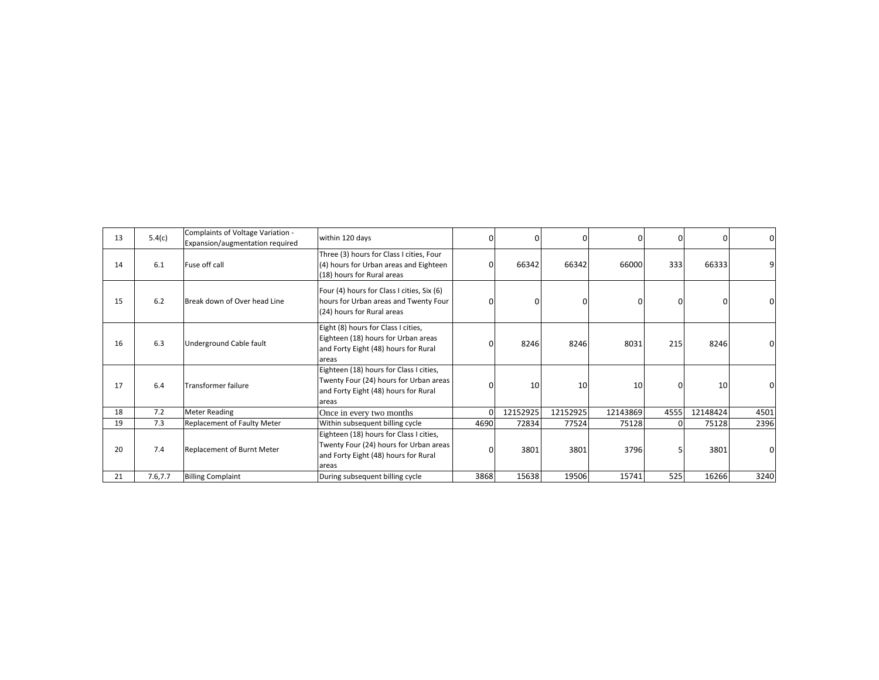| 13 | 5.4(c)  | Complaints of Voltage Variation -<br>Expansion/augmentation required | within 120 days                                                                                                                    | 0        | $\Omega$ |          | ŋ        |      | 0        |      |
|----|---------|----------------------------------------------------------------------|------------------------------------------------------------------------------------------------------------------------------------|----------|----------|----------|----------|------|----------|------|
| 14 | 6.1     | Fuse off call                                                        | Three (3) hours for Class I cities, Four<br>(4) hours for Urban areas and Eighteen<br>(18) hours for Rural areas                   |          | 66342    | 66342    | 66000    | 333  | 66333    |      |
| 15 | 6.2     | Break down of Over head Line                                         | Four (4) hours for Class I cities, Six (6)<br>hours for Urban areas and Twenty Four<br>(24) hours for Rural areas                  | $\Omega$ | $\Omega$ |          |          |      | $\Omega$ |      |
| 16 | 6.3     | Underground Cable fault                                              | Eight (8) hours for Class I cities,<br>Eighteen (18) hours for Urban areas<br>and Forty Eight (48) hours for Rural<br>areas        |          | 8246     | 8246     | 8031     | 215  | 8246     |      |
| 17 | 6.4     | Transformer failure                                                  | Eighteen (18) hours for Class I cities,<br>Twenty Four (24) hours for Urban areas<br>and Forty Eight (48) hours for Rural<br>areas | $\Omega$ | 10       | 10       | 10       |      | 10       |      |
| 18 | 7.2     | <b>Meter Reading</b>                                                 | Once in every two months                                                                                                           | ΩI       | 12152925 | 12152925 | 12143869 | 4555 | 12148424 | 4501 |
| 19 | 7.3     | Replacement of Faulty Meter                                          | Within subsequent billing cycle                                                                                                    | 4690     | 72834    | 77524    | 75128    |      | 75128    | 2396 |
| 20 | 7.4     | Replacement of Burnt Meter                                           | Eighteen (18) hours for Class I cities,<br>Twenty Four (24) hours for Urban areas<br>and Forty Eight (48) hours for Rural<br>areas |          | 3801     | 3801     | 3796     |      | 3801     |      |
| 21 | 7.6,7.7 | <b>Billing Complaint</b>                                             | During subsequent billing cycle                                                                                                    | 3868     | 15638    | 19506    | 15741    | 525  | 16266    | 3240 |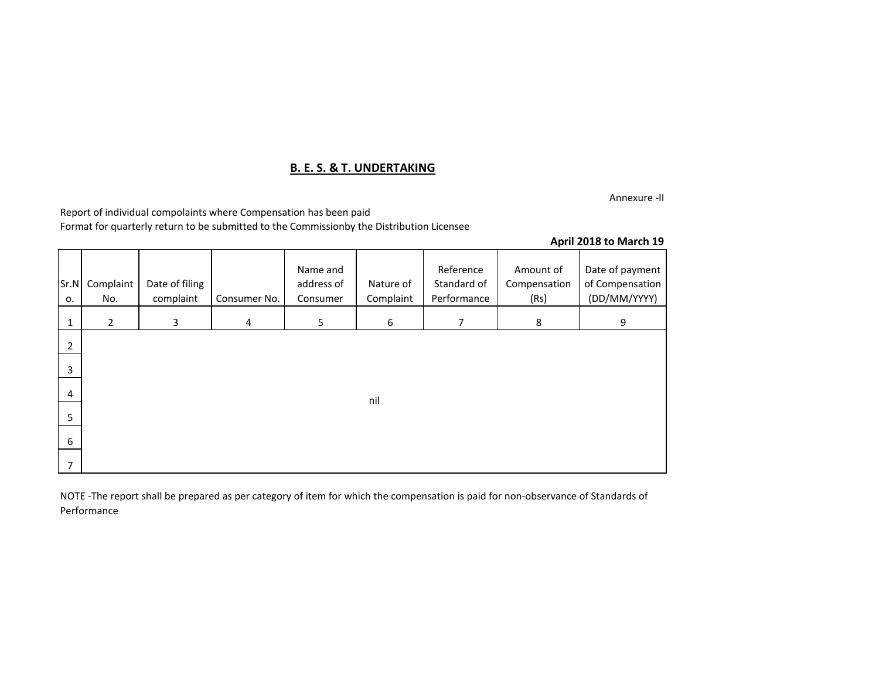## **B. E. S. & T. UNDERTAKING**

Annexure -II

Report of individual compolaints where Compensation has been paid

Format for quarterly return to be submitted to the Commissionby the Distribution Licensee

|  |  |  | April 2018 to March 19 |  |
|--|--|--|------------------------|--|
|--|--|--|------------------------|--|

| Sr.N<br>0.     | Complaint<br>No. | Date of filing<br>complaint | Consumer No. | Name and<br>address of<br>Consumer | Nature of<br>Complaint | Reference<br>Standard of<br>Performance | Amount of<br>Compensation<br>(Rs) | Date of payment<br>of Compensation<br>(DD/MM/YYYY) |
|----------------|------------------|-----------------------------|--------------|------------------------------------|------------------------|-----------------------------------------|-----------------------------------|----------------------------------------------------|
| $\mathbf{1}$   | $\overline{2}$   | 3                           | 4            | 5                                  | 6                      | $\overline{7}$                          | 8                                 | 9                                                  |
| $\overline{2}$ |                  |                             |              |                                    |                        |                                         |                                   |                                                    |
| 3              |                  |                             |              |                                    |                        |                                         |                                   |                                                    |
| 4              |                  |                             |              |                                    | nil                    |                                         |                                   |                                                    |
| 5              |                  |                             |              |                                    |                        |                                         |                                   |                                                    |
| 6              |                  |                             |              |                                    |                        |                                         |                                   |                                                    |
| 7              |                  |                             |              |                                    |                        |                                         |                                   |                                                    |

NOTE -The report shall be prepared as per category of item for which the compensation is paid for non-observance of Standards of Performance